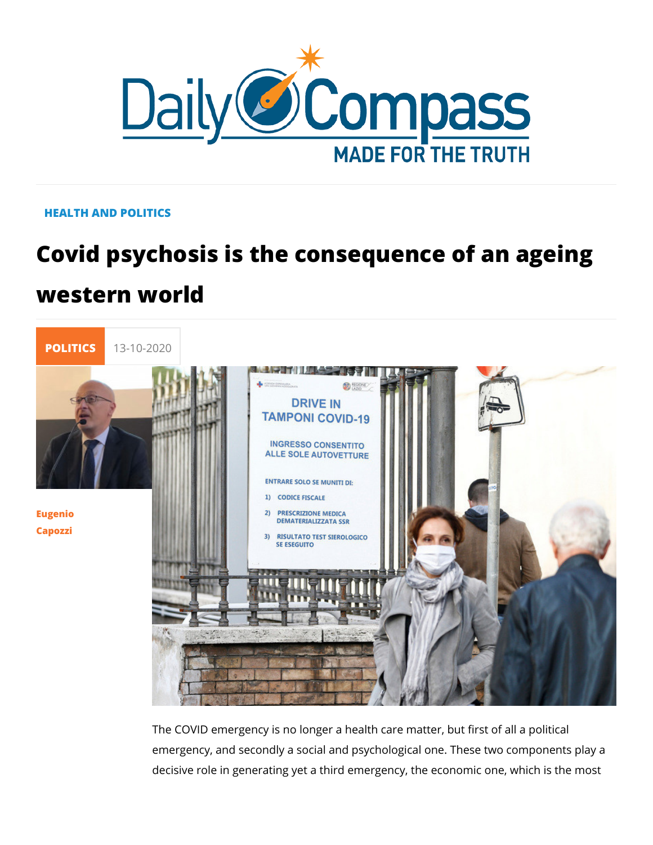## HEALTH AND POLITICS

# Covid psychosis is the consequence of western world



### [Eugen](/en/eugenio-capozzi)io [Capoz](/en/eugenio-capozzi)zi

The COVID emergency is no longer a health care matter, but fi emergency, and secondly a social and psychological one. Thes decisive role in generating yet a third emergency, the economi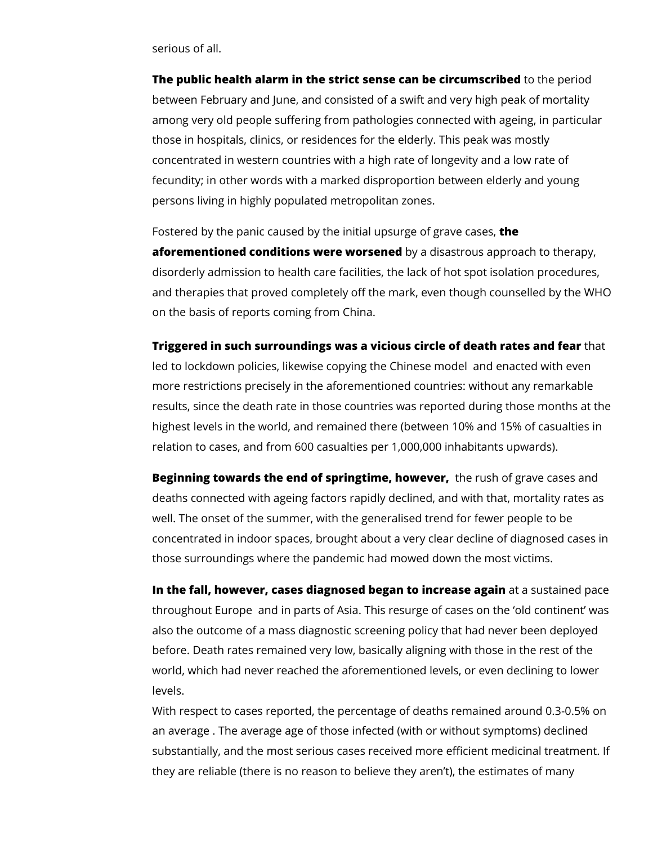serious of all.

**The public health alarm in the strict sense can be circumscribed** to the period between February and June, and consisted of a swift and very high peak of mortality among very old people suffering from pathologies connected with ageing, in particular those in hospitals, clinics, or residences for the elderly. This peak was mostly concentrated in western countries with a high rate of longevity and a low rate of fecundity; in other words with a marked disproportion between elderly and young persons living in highly populated metropolitan zones.

Fostered by the panic caused by the initial upsurge of grave cases, **the aforementioned conditions were worsened** by a disastrous approach to therapy, disorderly admission to health care facilities, the lack of hot spot isolation procedures, and therapies that proved completely off the mark, even though counselled by the WHO on the basis of reports coming from China.

**Triggered in such surroundings was a vicious circle of death rates and fear** that

led to lockdown policies, likewise copying the Chinese model and enacted with even more restrictions precisely in the aforementioned countries: without any remarkable results, since the death rate in those countries was reported during those months at the highest levels in the world, and remained there (between 10% and 15% of casualties in relation to cases, and from 600 casualties per 1,000,000 inhabitants upwards).

**Beginning towards the end of springtime, however,**  the rush of grave cases and deaths connected with ageing factors rapidly declined, and with that, mortality rates as well. The onset of the summer, with the generalised trend for fewer people to be concentrated in indoor spaces, brought about a very clear decline of diagnosed cases in those surroundings where the pandemic had mowed down the most victims.

**In the fall, however, cases diagnosed began to increase again** at a sustained pace throughout Europe and in parts of Asia. This resurge of cases on the 'old continent' was also the outcome of a mass diagnostic screening policy that had never been deployed before. Death rates remained very low, basically aligning with those in the rest of the world, which had never reached the aforementioned levels, or even declining to lower levels.

With respect to cases reported, the percentage of deaths remained around 0.3-0.5% on an average . The average age of those infected (with or without symptoms) declined substantially, and the most serious cases received more efficient medicinal treatment. If they are reliable (there is no reason to believe they aren't), the estimates of many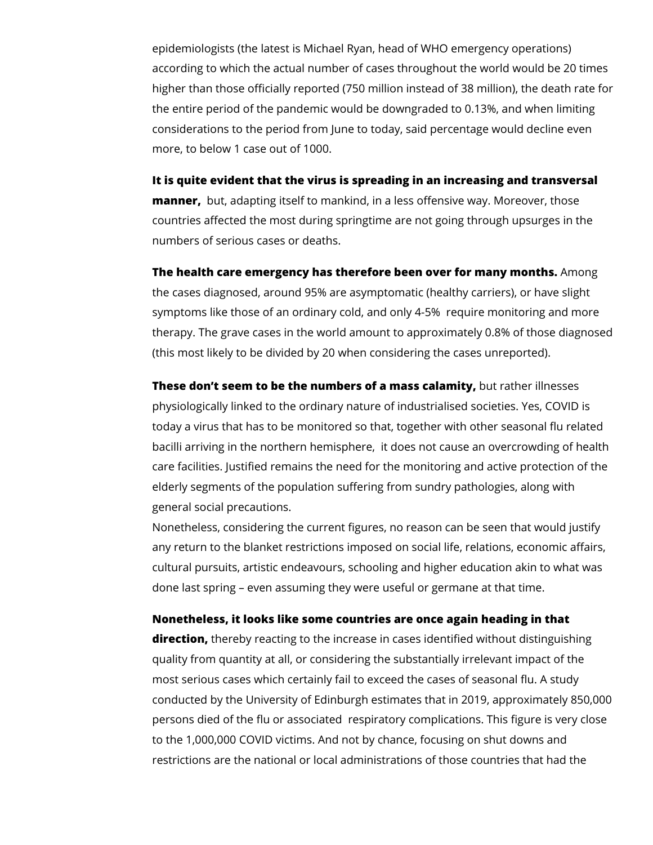epidemiologists (the latest is Michael Ryan, head of WHO emergency operations) according to which the actual number of cases throughout the world would be 20 times higher than those officially reported (750 million instead of 38 million), the death rate for the entire period of the pandemic would be downgraded to 0.13%, and when limiting considerations to the period from June to today, said percentage would decline even more, to below 1 case out of 1000.

#### **It is quite evident that the virus is spreading in an increasing and transversal**

**manner,**  but, adapting itself to mankind, in a less offensive way. Moreover, those countries affected the most during springtime are not going through upsurges in the numbers of serious cases or deaths.

# **The health care emergency has therefore been over for many months.** Among the cases diagnosed, around 95% are asymptomatic (healthy carriers), or have slight symptoms like those of an ordinary cold, and only 4-5% require monitoring and more therapy. The grave cases in the world amount to approximately 0.8% of those diagnosed

(this most likely to be divided by 20 when considering the cases unreported).

**These don't seem to be the numbers of a mass calamity,** but rather illnesses physiologically linked to the ordinary nature of industrialised societies. Yes, COVID is today a virus that has to be monitored so that, together with other seasonal flu related bacilli arriving in the northern hemisphere, it does not cause an overcrowding of health care facilities. Justified remains the need for the monitoring and active protection of the elderly segments of the population suffering from sundry pathologies, along with general social precautions.

Nonetheless, considering the current figures, no reason can be seen that would justify any return to the blanket restrictions imposed on social life, relations, economic affairs, cultural pursuits, artistic endeavours, schooling and higher education akin to what was done last spring – even assuming they were useful or germane at that time.

#### **Nonetheless, it looks like some countries are once again heading in that**

**direction,** thereby reacting to the increase in cases identified without distinguishing quality from quantity at all, or considering the substantially irrelevant impact of the most serious cases which certainly fail to exceed the cases of seasonal flu. A study conducted by the University of Edinburgh estimates that in 2019, approximately 850,000 persons died of the flu or associated respiratory complications. This figure is very close to the 1,000,000 COVID victims. And not by chance, focusing on shut downs and restrictions are the national or local administrations of those countries that had the